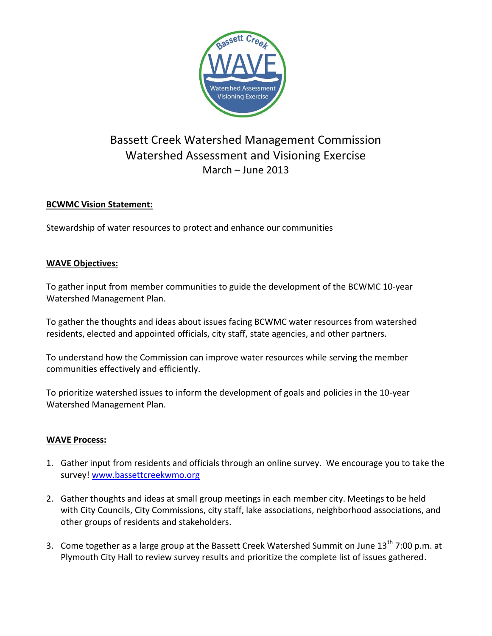

# Bassett Creek Watershed Management Commission Watershed Assessment and Visioning Exercise March – June 2013

## **BCWMC Vision Statement:**

Stewardship of water resources to protect and enhance our communities

### **WAVE Objectives:**

To gather input from member communities to guide the development of the BCWMC 10-year Watershed Management Plan.

To gather the thoughts and ideas about issues facing BCWMC water resources from watershed residents, elected and appointed officials, city staff, state agencies, and other partners.

To understand how the Commission can improve water resources while serving the member communities effectively and efficiently.

To prioritize watershed issues to inform the development of goals and policies in the 10-year Watershed Management Plan.

### **WAVE Process:**

- 1. Gather input from residents and officials through an online survey. We encourage you to take the survey! [www.bassettcreekwmo.org](http://www.bassettcreekwmo.org/)
- 2. Gather thoughts and ideas at small group meetings in each member city. Meetings to be held with City Councils, City Commissions, city staff, lake associations, neighborhood associations, and other groups of residents and stakeholders.
- 3. Come together as a large group at the Bassett Creek Watershed Summit on June 13<sup>th</sup> 7:00 p.m. at Plymouth City Hall to review survey results and prioritize the complete list of issues gathered.